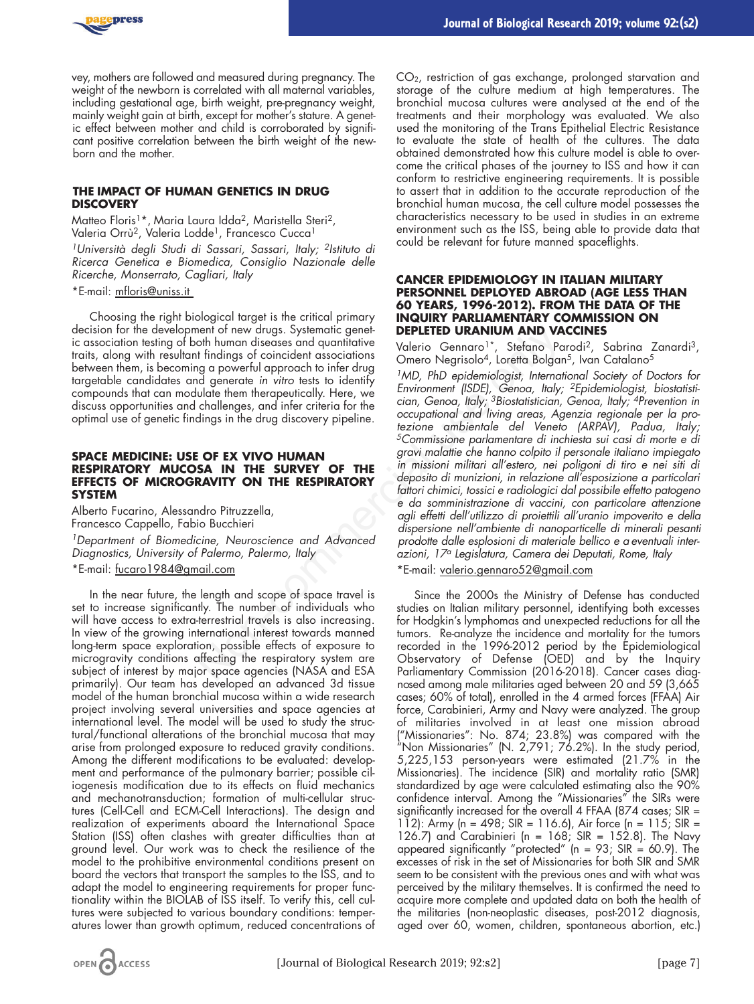

vey, mothers are followed and measured during pregnancy. The weight of the newborn is correlated with all maternal variables, including gestational age, birth weight, pre-pregnancy weight, mainly weight gain at birth, except for mother's stature. A genetic effect between mother and child is corroborated by significant positive correlation between the birth weight of the newborn and the mother.

## **THE IMPACT OF HUMAN GENETICS IN DRUG DISCOVERY**

Matteo Floris<sup>1\*</sup>, Maria Laura Idda<sup>2</sup>, Maristella Steri<sup>2</sup>, Valeria Orrù<sup>2</sup>, Valeria Lodde<sup>1</sup>, Francesco Cucca<sup>1</sup>

*1Università degli Studi di Sassari, Sassari, Italy; 2Istituto di Ricerca Genetica e Biomedica, Consiglio Nazionale delle Ricerche, Monserrato, Cagliari, Italy*

\*E-mail: mfloris@uniss.it

Choosing the right biological target is the critical primary decision for the development of new drugs. Systematic genetic association testing of both human diseases and quantitative traits, along with resultant findings of coincident associations between them, is becoming a powerful approach to infer drug targetable candidates and generate *in vitro* tests to identify compounds that can modulate them therapeutically. Here, we discuss opportunities and challenges, and infer criteria for the optimal use of genetic findings in the drug discovery pipeline.

## **SPACE MEDICINE: USE OF EX VIVO HUMAN RESPIRATORY MUCOSA IN THE SURVEY OF THE EFFECTS OF MICROGRAVITY ON THE RESPIRATORY SYSTEM**

Alberto Fucarino, Alessandro Pitruzzella, Francesco Cappello, Fabio Bucchieri

*1Department of Biomedicine, Neuroscience and Advanced Diagnostics, University of Palermo, Palermo, Italy*

\*E-mail: fucaro1984@gmail.com

In the near future, the length and scope of space travel is set to increase significantly. The number of individuals who will have access to extra-terrestrial travels is also increasing. In view of the growing international interest towards manned long-term space exploration, possible effects of exposure to microgravity conditions affecting the respiratory system are subject of interest by major space agencies (NASA and ESA primarily). Our team has developed an advanced 3d tissue model of the human bronchial mucosa within a wide research project involving several universities and space agencies at international level. The model will be used to study the structural/functional alterations of the bronchial mucosa that may arise from prolonged exposure to reduced gravity conditions. Among the different modifications to be evaluated: development and performance of the pulmonary barrier; possible ciliogenesis modification due to its effects on fluid mechanics and mechanotransduction; formation of multi-cellular structures (Cell-Cell and ECM-Cell Interactions). The design and realization of experiments aboard the International Space Station (ISS) often clashes with greater difficulties than at ground level. Our work was to check the resilience of the model to the prohibitive environmental conditions present on board the vectors that transport the samples to the ISS, and to adapt the model to engineering requirements for proper functionality within the BIOLAB of ISS itself. To verify this, cell cultures were subjected to various boundary conditions: temperatures lower than growth optimum, reduced concentrations of

CO<sub>2</sub>, restriction of gas exchange, prolonged starvation and storage of the culture medium at high temperatures. The bronchial mucosa cultures were analysed at the end of the treatments and their morphology was evaluated. We also used the monitoring of the Trans Epithelial Electric Resistance to evaluate the state of health of the cultures. The data obtained demonstrated how this culture model is able to overcome the critical phases of the journey to ISS and how it can conform to restrictive engineering requirements. It is possible to assert that in addition to the accurate reproduction of the bronchial human mucosa, the cell culture model possesses the characteristics necessary to be used in studies in an extreme environment such as the ISS, being able to provide data that could be relevant for future manned spaceflights.

## **CANCER EPIDEMIOLOGY IN ITALIAN MILITARY PERSONNEL DEPLOYED ABROAD (AGE LESS THAN 60 YEARS, 1996-2012). FROM THE DATA OF THE INQUIRY PARLIAMENTARY COMMISSION ON DEPLETED URANIUM AND VACCINES**

Valerio Gennaro<sup>1\*</sup>, Stefano Parodi<sup>2</sup>, Sabrina Zanardi<sup>3</sup>, Omero Negrisolo<sup>4</sup>, Loretta Bolgan<sup>5</sup>, Ivan Catalano<sup>5</sup>

*1MD, PhD epidemiologist, International Society of Doctors for Environment (ISDE), Genoa, Italy; 2Epidemiologist, biostatistician, Genoa, Italy; 3Biostatistician, Genoa, Italy; 4Prevention in occupational and living areas, Agenzia regionale per la protezione ambientale del Veneto (ARPAV), Padua, Italy; 5Commissione parlamentare di inchiesta sui casi di morte e di gravi malattie che hanno colpito il personale italiano impiegato in missioni militari all'estero, nei poligoni di tiro e nei siti di deposito di munizioni, in relazione all'esposizione a particolari fattori chimici, tossici e radiologici dal possibile effetto patogeno e da somministrazione di vaccini, con particolare attenzione agli effetti dell'utilizzo di proiettili all'uranio impoverito e della dispersione nell'ambiente di nanoparticelle di minerali pesanti prodotte dalle esplosioni di materiale bellico e a eventuali interazioni, 17a Legislatura, Camera dei Deputati, Rome, Italy* Nonemial of the druges. Systematic generation (Specific Generator) the human diseases and quantitative commercy here of the drug of operation of the druges of coincident associations (Denero Negrisolo<sup>4</sup>, Loretha Bolgary a

\*E-mail: valerio.gennaro52@gmail.com

Since the 2000s the Ministry of Defense has conducted studies on Italian military personnel, identifying both excesses for Hodgkin's lymphomas and unexpected reductions for all the tumors. Re-analyze the incidence and mortality for the tumors recorded in the 1996-2012 period by the Epidemiological Observatory of Defense (OED) and by the Inquiry Parliamentary Commission (2016-2018). Cancer cases diagnosed among male militaries aged between 20 and 59 (3,665 cases; 60% of total), enrolled in the 4 armed forces (FFAA) Air force, Carabinieri, Army and Navy were analyzed. The group of militaries involved in at least one mission abroad ("Missionaries": No. 874; 23.8%) was compared with the "Non Missionaries" (N. 2,791;  $76.2%$ ). In the study period, 5,225,153 person-years were estimated (21.7% in the Missionaries). The incidence (SIR) and mortality ratio (SMR) standardized by age were calculated estimating also the 90% confidence interval. Among the "Missionaries" the SIRs were significantly increased for the overall 4 FFAA (874 cases; SIR = 112): Army (n = 498; SIR = 116.6), Air force (n = 115; SIR = 126.7) and Carabinieri (n = 168; SIR = 152.8). The Navy appeared significantly "protected" (n = 93; SIR = 60.9). The excesses of risk in the set of Missionaries for both SIR and SMR seem to be consistent with the previous ones and with what was perceived by the military themselves. It is confirmed the need to acquire more complete and updated data on both the health of the militaries (non-neoplastic diseases, post-2012 diagnosis, aged over 60, women, children, spontaneous abortion, etc.)